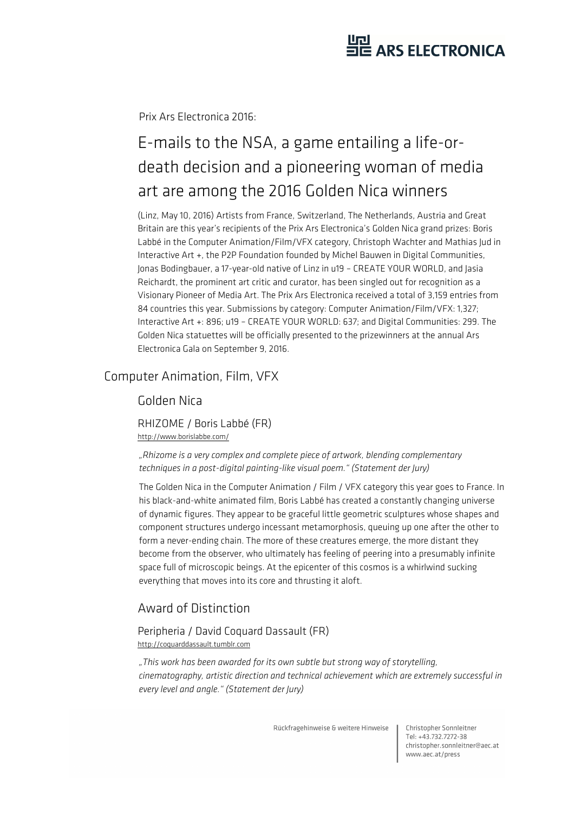## HE ARS ELECTRONICA

Prix Ars Electronica 2016:

## E-mails to the NSA, a game entailing a life-ordeath decision and a pioneering woman of media art are among the 2016 Golden Nica winners

(Linz, May 10, 2016) Artists from France, Switzerland, The Netherlands, Austria and Great Britain are this year's recipients of the Prix Ars Electronica's Golden Nica grand prizes: Boris Labbé in the Computer Animation/Film/VFX category, Christoph Wachter and Mathias Jud in Interactive Art +, the P2P Foundation founded by Michel Bauwen in Digital Communities, Jonas Bodingbauer, a 17-year-old native of Linz in u19 – CREATE YOUR WORLD, and Jasia Reichardt, the prominent art critic and curator, has been singled out for recognition as a Visionary Pioneer of Media Art. The Prix Ars Electronica received a total of 3,159 entries from 84 countries this year. Submissions by category: Computer Animation/Film/VFX: 1,327; Interactive Art +: 896; u19 – CREATE YOUR WORLD: 637; and Digital Communities: 299. The Golden Nica statuettes will be officially presented to the prizewinners at the annual Ars Electronica Gala on September 9, 2016.

### Computer Animation, Film, VFX

#### Golden Nica

RHIZOME / Boris Labbé (FR) http://www.borislabbe.com/

*"Rhizome is a very complex and complete piece of artwork, blending complementary techniques in a post-digital painting-like visual poem." (Statement der Jury)* 

The Golden Nica in the Computer Animation / Film / VFX category this year goes to France. In his black-and-white animated film, Boris Labbé has created a constantly changing universe of dynamic figures. They appear to be graceful little geometric sculptures whose shapes and component structures undergo incessant metamorphosis, queuing up one after the other to form a never-ending chain. The more of these creatures emerge, the more distant they become from the observer, who ultimately has feeling of peering into a presumably infinite space full of microscopic beings. At the epicenter of this cosmos is a whirlwind sucking everything that moves into its core and thrusting it aloft.

### Award of Distinction

#### Peripheria / David Coquard Dassault (FR) http://coquarddassault.tumblr.com

*"This work has been awarded for its own subtle but strong way of storytelling, cinematography, artistic direction and technical achievement which are extremely successful in every level and angle." (Statement der Jury)* 

Rückfragehinweise & weitere Hinweise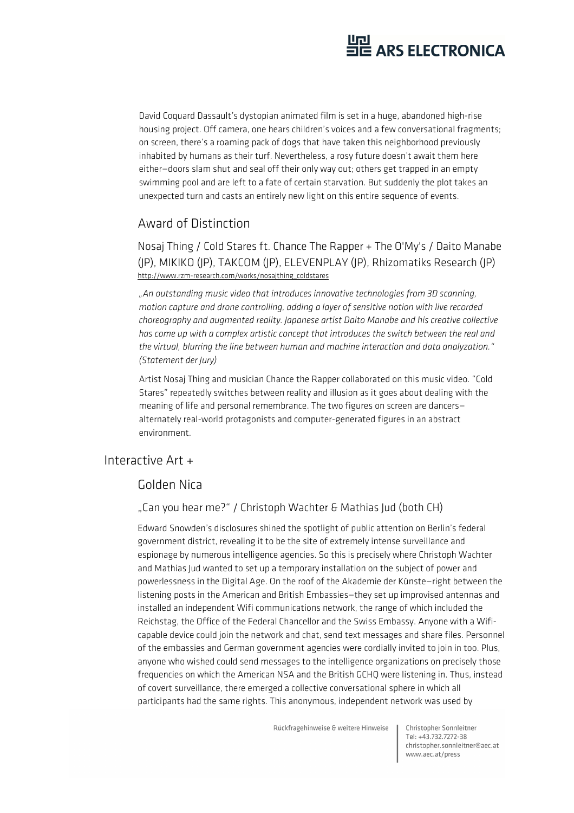

David Coquard Dassault's dystopian animated film is set in a huge, abandoned high-rise housing project. Off camera, one hears children's voices and a few conversational fragments; on screen, there's a roaming pack of dogs that have taken this neighborhood previously inhabited by humans as their turf. Nevertheless, a rosy future doesn't await them here either—doors slam shut and seal off their only way out; others get trapped in an empty swimming pool and are left to a fate of certain starvation. But suddenly the plot takes an unexpected turn and casts an entirely new light on this entire sequence of events.

#### Award of Distinction

Nosaj Thing / Cold Stares ft. Chance The Rapper + The O'My's / Daito Manabe (JP), MIKIKO (JP), TAKCOM (JP), ELEVENPLAY (JP), Rhizomatiks Research (JP) http://www.rzm-research.com/works/nosajthing\_coldstares

*"An outstanding music video that introduces innovative technologies from 3D scanning, motion capture and drone controlling, adding a layer of sensitive notion with live recorded choreography and augmented reality. Japanese artist Daito Manabe and his creative collective has come up with a complex artistic concept that introduces the switch between the real and the virtual, blurring the line between human and machine interaction and data analyzation." (Statement der Jury)* 

Artist Nosaj Thing and musician Chance the Rapper collaborated on this music video. "Cold Stares" repeatedly switches between reality and illusion as it goes about dealing with the meaning of life and personal remembrance. The two figures on screen are dancers alternately real-world protagonists and computer-generated figures in an abstract environment.

#### Interactive Art +

#### Golden Nica

#### "Can you hear me?" / Christoph Wachter & Mathias Jud (both CH)

Edward Snowden's disclosures shined the spotlight of public attention on Berlin's federal government district, revealing it to be the site of extremely intense surveillance and espionage by numerous intelligence agencies. So this is precisely where Christoph Wachter and Mathias Jud wanted to set up a temporary installation on the subject of power and powerlessness in the Digital Age. On the roof of the Akademie der Künste—right between the listening posts in the American and British Embassies—they set up improvised antennas and installed an independent Wifi communications network, the range of which included the Reichstag, the Office of the Federal Chancellor and the Swiss Embassy. Anyone with a Wificapable device could join the network and chat, send text messages and share files. Personnel of the embassies and German government agencies were cordially invited to join in too. Plus, anyone who wished could send messages to the intelligence organizations on precisely those frequencies on which the American NSA and the British GCHQ were listening in. Thus, instead of covert surveillance, there emerged a collective conversational sphere in which all participants had the same rights. This anonymous, independent network was used by

Rückfragehinweise & weitere Hinweise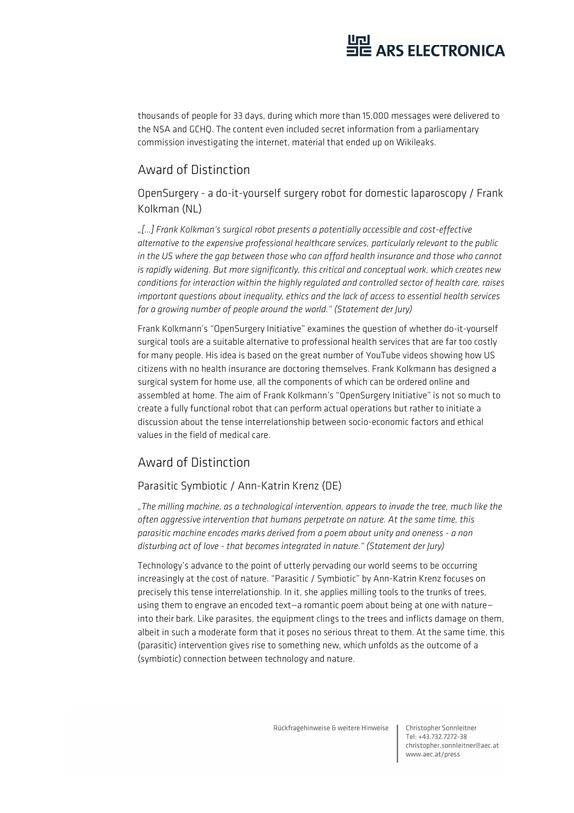thousands of people for 33 days, during which more than 15,000 messages were delivered to the NSA and GCHQ. The content even included secret information from a parliamentary commission investigating the internet, material that ended up on Wikileaks.

#### Award of Distinction

OpenSurgery - a do-it-yourself surgery robot for domestic laparoscopy / Frank Kolkman (NL)

*"[…] Frank Kolkman's surgical robot presents a potentially accessible and cost-effective alternative to the expensive professional healthcare services, particularly relevant to the public*  in the US where the gap between those who can afford health insurance and those who cannot *is rapidly widening. But more significantly, this critical and conceptual work, which creates new conditions for interaction within the highly regulated and controlled sector of health care, raises important questions about inequality, ethics and the lack of access to essential health services for a growing number of people around the world." (Statement der Jury)* 

Frank Kolkmann's "OpenSurgery Initiative" examines the question of whether do-it-yourself surgical tools are a suitable alternative to professional health services that are far too costly for many people. His idea is based on the great number of YouTube videos showing how US citizens with no health insurance are doctoring themselves. Frank Kolkmann has designed a surgical system for home use, all the components of which can be ordered online and assembled at home. The aim of Frank Kolkmann's "OpenSurgery Initiative" is not so much to create a fully functional robot that can perform actual operations but rather to initiate a discussion about the tense interrelationship between socio-economic factors and ethical values in the field of medical care.

### Award of Distinction

#### Parasitic Symbiotic / Ann-Katrin Krenz (DE)

*"The milling machine, as a technological intervention, appears to invade the tree, much like the often aggressive intervention that humans perpetrate on nature. At the same time, this parasitic machine encodes marks derived from a poem about unity and oneness - a non disturbing act of love - that becomes integrated in nature." (Statement der Jury)* 

Technology's advance to the point of utterly pervading our world seems to be occurring increasingly at the cost of nature. "Parasitic / Symbiotic" by Ann-Katrin Krenz focuses on precisely this tense interrelationship. In it, she applies milling tools to the trunks of trees, using them to engrave an encoded text—a romantic poem about being at one with nature into their bark. Like parasites, the equipment clings to the trees and inflicts damage on them, albeit in such a moderate form that it poses no serious threat to them. At the same time, this (parasitic) intervention gives rise to something new, which unfolds as the outcome of a (symbiotic) connection between technology and nature.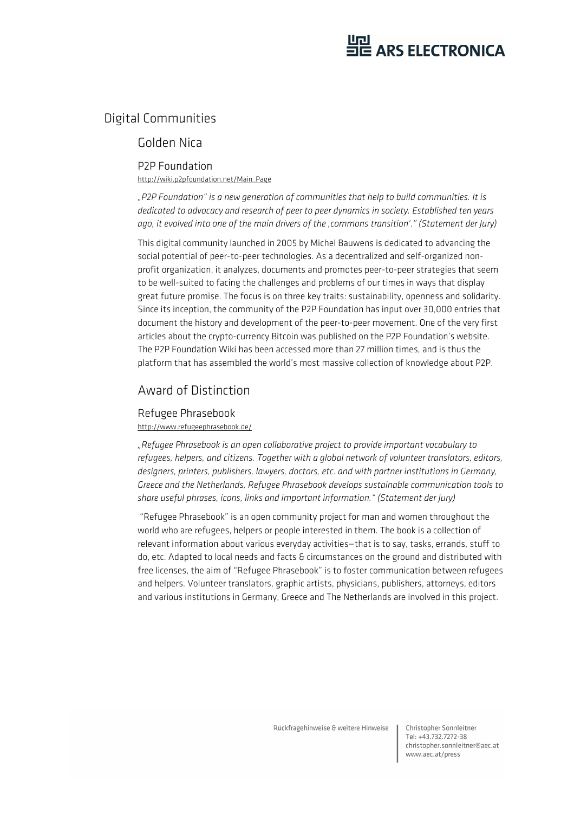### Digital Communities

#### Golden Nica

#### P2P Foundation

http://wiki.p2pfoundation.net/Main\_Page

*"P2P Foundation" is a new generation of communities that help to build communities. It is dedicated to advocacy and research of peer to peer dynamics in society. Established ten years ago, it evolved into one of the main drivers of the 'commons transition'." (Statement der Jury)* 

This digital community launched in 2005 by Michel Bauwens is dedicated to advancing the social potential of peer-to-peer technologies. As a decentralized and self-organized nonprofit organization, it analyzes, documents and promotes peer-to-peer strategies that seem to be well-suited to facing the challenges and problems of our times in ways that display great future promise. The focus is on three key traits: sustainability, openness and solidarity. Since its inception, the community of the P2P Foundation has input over 30,000 entries that document the history and development of the peer-to-peer movement. One of the very first articles about the crypto-currency Bitcoin was published on the P2P Foundation's website. The P2P Foundation Wiki has been accessed more than 27 million times, and is thus the platform that has assembled the world's most massive collection of knowledge about P2P.

### Award of Distinction

#### Refugee Phrasebook http://www.refugeephrasebook.de/

*"Refugee Phrasebook is an open collaborative project to provide important vocabulary to refugees, helpers, and citizens. Together with a global network of volunteer translators, editors, designers, printers, publishers, lawyers, doctors, etc. and with partner institutions in Germany, Greece and the Netherlands, Refugee Phrasebook develops sustainable communication tools to share useful phrases, icons, links and important information." (Statement der Jury)* 

 "Refugee Phrasebook" is an open community project for man and women throughout the world who are refugees, helpers or people interested in them. The book is a collection of relevant information about various everyday activities—that is to say, tasks, errands, stuff to do, etc. Adapted to local needs and facts & circumstances on the ground and distributed with free licenses, the aim of "Refugee Phrasebook" is to foster communication between refugees and helpers. Volunteer translators, graphic artists, physicians, publishers, attorneys, editors and various institutions in Germany, Greece and The Netherlands are involved in this project.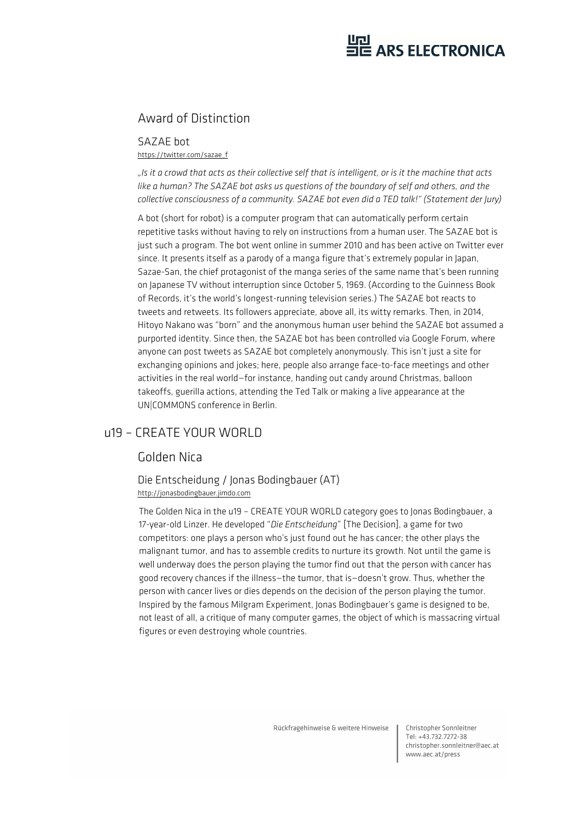# HE ARS ELECTRONICA

### Award of Distinction

SAZAE bot https://twitter.com/sazae\_f

*"Is it a crowd that acts as their collective self that is intelligent, or is it the machine that acts like a human? The SAZAE bot asks us questions of the boundary of self and others, and the collective consciousness of a community. SAZAE bot even did a TED talk!" (Statement der Jury)* 

A bot (short for robot) is a computer program that can automatically perform certain repetitive tasks without having to rely on instructions from a human user. The SAZAE bot is just such a program. The bot went online in summer 2010 and has been active on Twitter ever since. It presents itself as a parody of a manga figure that's extremely popular in Japan, Sazae-San, the chief protagonist of the manga series of the same name that's been running on Japanese TV without interruption since October 5, 1969. (According to the Guinness Book of Records, it's the world's longest-running television series.) The SAZAE bot reacts to tweets and retweets. Its followers appreciate, above all, its witty remarks. Then, in 2014, Hitoyo Nakano was "born" and the anonymous human user behind the SAZAE bot assumed a purported identity. Since then, the SAZAE bot has been controlled via Google Forum, where anyone can post tweets as SAZAE bot completely anonymously. This isn't just a site for exchanging opinions and jokes; here, people also arrange face-to-face meetings and other activities in the real world—for instance, handing out candy around Christmas, balloon takeoffs, guerilla actions, attending the Ted Talk or making a live appearance at the UN|COMMONS conference in Berlin.

### u19 – CREATE YOUR WORLD

### Golden Nica

#### Die Entscheidung / Jonas Bodingbauer (AT) http://jonasbodingbauer.jimdo.com

The Golden Nica in the u19 – CREATE YOUR WORLD category goes to Jonas Bodingbauer, a 17-year-old Linzer. He developed "*Die Entscheidung*" [The Decision], a game for two competitors: one plays a person who's just found out he has cancer; the other plays the malignant tumor, and has to assemble credits to nurture its growth. Not until the game is well underway does the person playing the tumor find out that the person with cancer has good recovery chances if the illness—the tumor, that is—doesn't grow. Thus, whether the person with cancer lives or dies depends on the decision of the person playing the tumor. Inspired by the famous Milgram Experiment, Jonas Bodingbauer's game is designed to be, not least of all, a critique of many computer games, the object of which is massacring virtual figures or even destroying whole countries.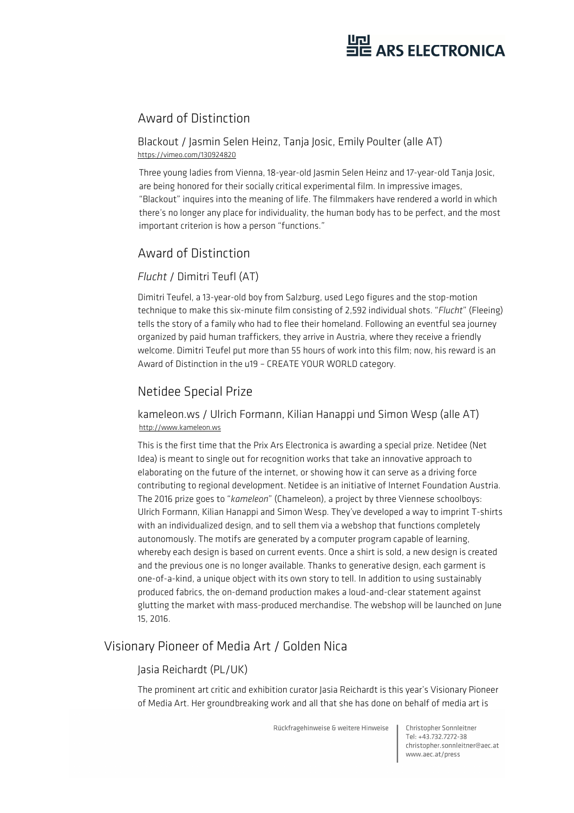### Award of Distinction

Blackout / Jasmin Selen Heinz, Tanja Josic, Emily Poulter (alle AT) https://vimeo.com/130924820

Three young ladies from Vienna, 18-year-old Jasmin Selen Heinz and 17-year-old Tanja Josic, are being honored for their socially critical experimental film. In impressive images, "Blackout" inquires into the meaning of life. The filmmakers have rendered a world in which there's no longer any place for individuality, the human body has to be perfect, and the most important criterion is how a person "functions."

### Award of Distinction

#### *Flucht* / Dimitri Teufl (AT)

Dimitri Teufel, a 13-year-old boy from Salzburg, used Lego figures and the stop-motion technique to make this six-minute film consisting of 2,592 individual shots. "*Flucht*" (Fleeing) tells the story of a family who had to flee their homeland. Following an eventful sea journey organized by paid human traffickers, they arrive in Austria, where they receive a friendly welcome. Dimitri Teufel put more than 55 hours of work into this film; now, his reward is an Award of Distinction in the u19 – CREATE YOUR WORLD category.

### Netidee Special Prize

kameleon.ws / Ulrich Formann, Kilian Hanappi und Simon Wesp (alle AT) http://www.kameleon.ws

This is the first time that the Prix Ars Electronica is awarding a special prize. Netidee (Net Idea) is meant to single out for recognition works that take an innovative approach to elaborating on the future of the internet, or showing how it can serve as a driving force contributing to regional development. Netidee is an initiative of Internet Foundation Austria. The 2016 prize goes to "*kameleon*" (Chameleon), a project by three Viennese schoolboys: Ulrich Formann, Kilian Hanappi and Simon Wesp. They've developed a way to imprint T-shirts with an individualized design, and to sell them via a webshop that functions completely autonomously. The motifs are generated by a computer program capable of learning, whereby each design is based on current events. Once a shirt is sold, a new design is created and the previous one is no longer available. Thanks to generative design, each garment is one-of-a-kind, a unique object with its own story to tell. In addition to using sustainably produced fabrics, the on-demand production makes a loud-and-clear statement against glutting the market with mass-produced merchandise. The webshop will be launched on June 15, 2016.

### Visionary Pioneer of Media Art / Golden Nica

#### Jasia Reichardt (PL/UK)

The prominent art critic and exhibition curator Jasia Reichardt is this year's Visionary Pioneer of Media Art. Her groundbreaking work and all that she has done on behalf of media art is

Rückfragehinweise & weitere Hinweise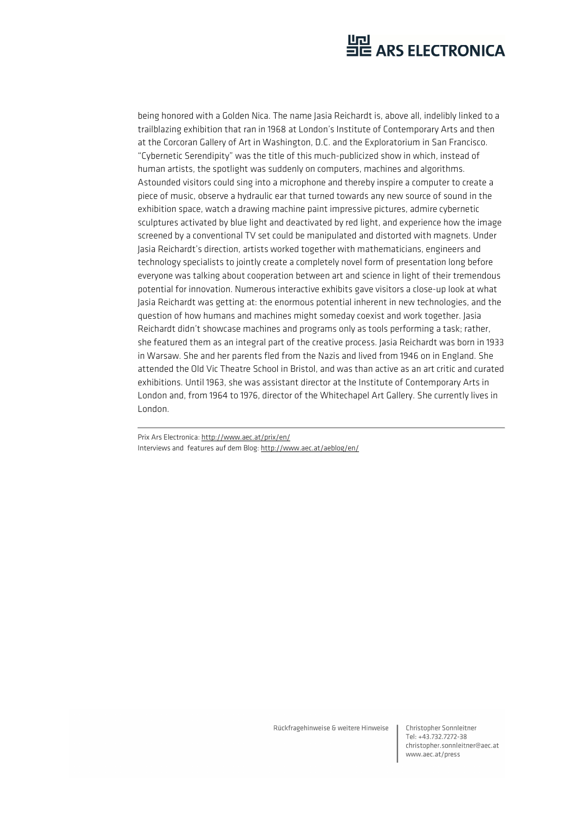being honored with a Golden Nica. The name lasia Reichardt is, above all, indelibly linked to a trailblazing exhibition that ran in 1968 at London's Institute of Contemporary Arts and then at the Corcoran Gallery of Art in Washington, D.C. and the Exploratorium in San Francisco. "Cybernetic Serendipity" was the title of this much-publicized show in which, instead of human artists, the spotlight was suddenly on computers, machines and algorithms. Astounded visitors could sing into a microphone and thereby inspire a computer to create a piece of music, observe a hydraulic ear that turned towards any new source of sound in the exhibition space, watch a drawing machine paint impressive pictures, admire cybernetic sculptures activated by blue light and deactivated by red light, and experience how the image screened by a conventional TV set could be manipulated and distorted with magnets. Under Jasia Reichardt's direction, artists worked together with mathematicians, engineers and technology specialists to jointly create a completely novel form of presentation long before everyone was talking about cooperation between art and science in light of their tremendous potential for innovation. Numerous interactive exhibits gave visitors a close-up look at what Jasia Reichardt was getting at: the enormous potential inherent in new technologies, and the question of how humans and machines might someday coexist and work together. Jasia Reichardt didn't showcase machines and programs only as tools performing a task; rather, she featured them as an integral part of the creative process. Jasia Reichardt was born in 1933 in Warsaw. She and her parents fled from the Nazis and lived from 1946 on in England. She attended the Old Vic Theatre School in Bristol, and was than active as an art critic and curated exhibitions. Until 1963, she was assistant director at the Institute of Contemporary Arts in London and, from 1964 to 1976, director of the Whitechapel Art Gallery. She currently lives in London.

Prix Ars Electronica: http://www.aec.at/prix/en/ Interviews and features auf dem Blog: http://www.aec.at/aeblog/en/

Rückfragehinweise & weitere Hinweise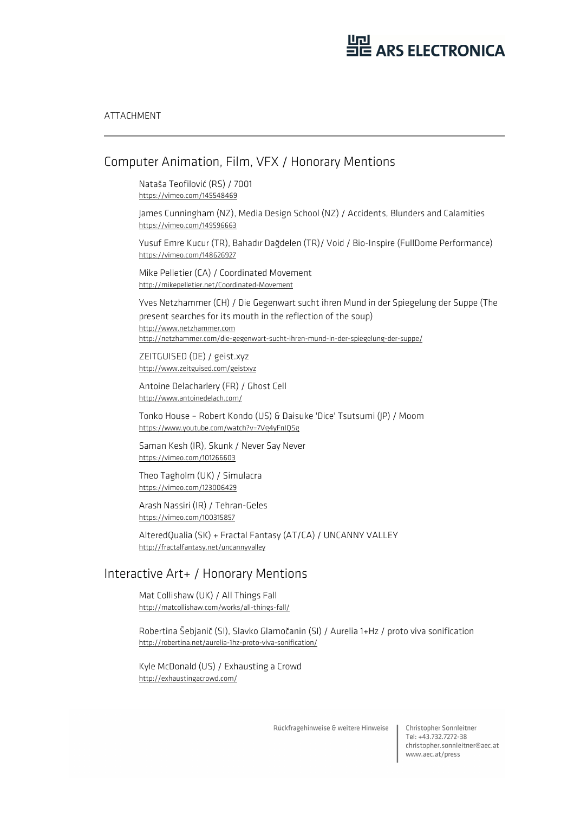#### ATTACHMENT

#### Computer Animation, Film, VFX / Honorary Mentions

Nataša Teofilović (RS) / 7001 https://vimeo.com/145548469

James Cunningham (NZ), Media Design School (NZ) / Accidents, Blunders and Calamities https://vimeo.com/149596663

Yusuf Emre Kucur (TR), Bahadır Dağdelen (TR)/ Void / Bio-Inspire (FullDome Performance) https://vimeo.com/148626927

Mike Pelletier (CA) / Coordinated Movement http://mikepelletier.net/Coordinated-Movement

Yves Netzhammer (CH) / Die Gegenwart sucht ihren Mund in der Spiegelung der Suppe (The present searches for its mouth in the reflection of the soup) http://www.netzhammer.com http://netzhammer.com/die-gegenwart-sucht-ihren-mund-in-der-spiegelung-der-suppe/

ZEITGUISED (DE) / geist.xyz http://www.zeitguised.com/geistxyz

Antoine Delacharlery (FR) / Ghost Cell http://www.antoinedelach.com/

Tonko House – Robert Kondo (US) & Daisuke 'Dice' Tsutsumi (JP) / Moom https://www.youtube.com/watch?v=7Vg4yFnIQSg

Saman Kesh (IR), Skunk / Never Say Never https://vimeo.com/101266603

Theo Tagholm (UK) / Simulacra https://vimeo.com/123006429

Arash Nassiri (IR) / Tehran-Geles https://vimeo.com/100315857

AlteredQualia (SK) + Fractal Fantasy (AT/CA) / UNCANNY VALLEY http://fractalfantasy.net/uncannyvalley

#### Interactive Art+ / Honorary Mentions

Mat Collishaw (UK) / All Things Fall http://matcollishaw.com/works/all-things-fall/

Robertina Šebjanič (SI), Slavko Glamočanin (SI) / Aurelia 1+Hz / proto viva sonification http://robertina.net/aurelia-1hz-proto-viva-sonification/

Kyle McDonald (US) / Exhausting a Crowd http://exhaustingacrowd.com/

Rückfragehinweise & weitere Hinweise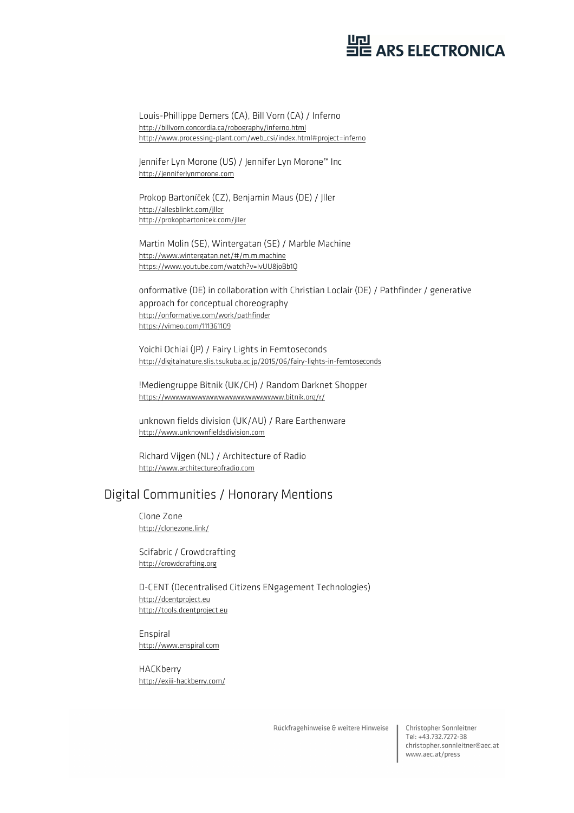Louis-Phillippe Demers (CA), Bill Vorn (CA) / Inferno http://billvorn.concordia.ca/robography/inferno.html http://www.processing-plant.com/web\_csi/index.html#project=inferno

Jennifer Lyn Morone (US) / Jennifer Lyn Morone™ Inc http://jenniferlynmorone.com

Prokop Bartoníček (CZ), Benjamin Maus (DE) / Jller http://allesblinkt.com/jller http://prokopbartonicek.com/jller

Martin Molin (SE), Wintergatan (SE) / Marble Machine http://www.wintergatan.net/#/m.m.machine https://www.youtube.com/watch?v=IvUU8joBb1Q

onformative (DE) in collaboration with Christian Loclair (DE) / Pathfinder / generative approach for conceptual choreography http://onformative.com/work/pathfinder https://vimeo.com/111361109

Yoichi Ochiai (JP) / Fairy Lights in Femtoseconds http://digitalnature.slis.tsukuba.ac.jp/2015/06/fairy-lights-in-femtoseconds

!Mediengruppe Bitnik (UK/CH) / Random Darknet Shopper https://wwwwwwwwwwwwwwwwwwwwww.bitnik.org/r/

unknown fields division (UK/AU) / Rare Earthenware http://www.unknownfieldsdivision.com

Richard Vijgen (NL) / Architecture of Radio http://www.architectureofradio.com

#### Digital Communities / Honorary Mentions

Clone Zone http://clonezone.link/

Scifabric / Crowdcrafting http://crowdcrafting.org

D-CENT (Decentralised Citizens ENgagement Technologies) http://dcentproject.eu http://tools.dcentproject.eu

Enspiral http://www.enspiral.com

HACKberry http://exiii-hackberry.com/

Rückfragehinweise & weitere Hinweise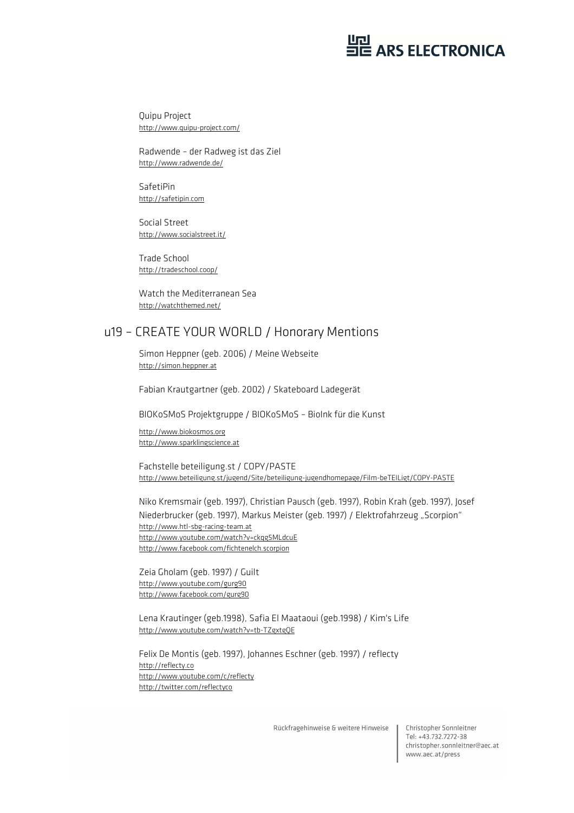Quipu Project http://www.quipu-project.com/

Radwende – der Radweg ist das Ziel http://www.radwende.de/

SafetiPin http://safetipin.com

Social Street http://www.socialstreet.it/

Trade School http://tradeschool.coop/

Watch the Mediterranean Sea http://watchthemed.net/

#### u19 – CREATE YOUR WORLD / Honorary Mentions

Simon Heppner (geb. 2006) / Meine Webseite http://simon.heppner.at

Fabian Krautgartner (geb. 2002) / Skateboard Ladegerät

BIOKoSMoS Projektgruppe / BIOKoSMoS – BioInk für die Kunst

http://www.biokosmos.org http://www.sparklingscience.at

Fachstelle beteiligung.st / COPY/PASTE http://www.beteiligung.st/jugend/Site/beteiligung-jugendhomepage/Film-beTEILigt/COPY-PASTE

Niko Kremsmair (geb. 1997), Christian Pausch (geb. 1997), Robin Krah (geb. 1997), Josef Niederbrucker (geb. 1997), Markus Meister (geb. 1997) / Elektrofahrzeug "Scorpion" http://www.htl-sbg-racing-team.at http://www.youtube.com/watch?v=ckqg5MLdcuE http://www.facebook.com/fichtenelch.scorpion

Zeia Gholam (geb. 1997) / Guilt http://www.youtube.com/gurg90 http://www.facebook.com/gurg90

Lena Krautinger (geb.1998), Safia El Maataoui (geb.1998) / Kim's Life http://www.youtube.com/watch?v=tb-TZgxtgQE

Felix De Montis (geb. 1997), Johannes Eschner (geb. 1997) / reflecty http://reflecty.co http://www.youtube.com/c/reflecty http://twitter.com/reflectyco

Rückfragehinweise & weitere Hinweise